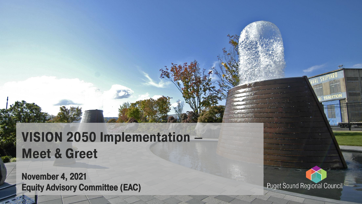#### **VISION 2050 Implementation – Meet & Greet**

November 4, 2021 Equity Advisory Committee (EAC)

**Puget Sound Regional Council**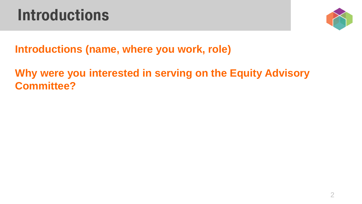### **Introductions**



#### **Introductions (name, where you work, role)**

#### **Why were you interested in serving on the Equity Advisory Committee?**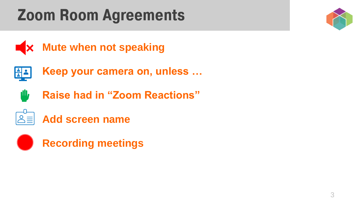## **Zoom Room Agreements**







- **Keep your camera on, unless …**
- **ill, Raise had in "Zoom Reactions"**



**Add screen name**

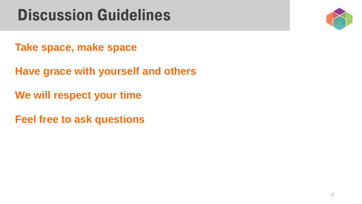### **Discussion Guidelines**



**Take space, make space**

**Have grace with yourself and others**

**We will respect your time**

**Feel free to ask questions**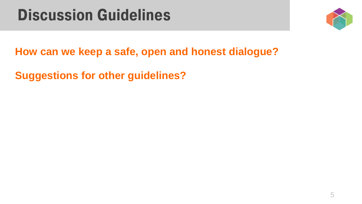#### **Discussion Guidelines**



**How can we keep a safe, open and honest dialogue?**

**Suggestions for other guidelines?**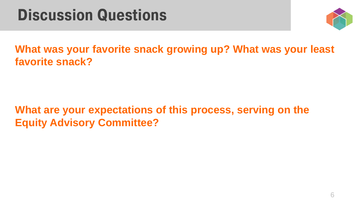### **Discussion Questions**



**What was your favorite snack growing up? What was your least favorite snack?**

**What are your expectations of this process, serving on the Equity Advisory Committee?**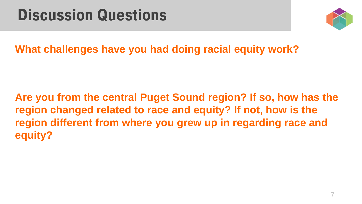### **Discussion Questions**



**What challenges have you had doing racial equity work?**

**Are you from the central Puget Sound region? If so, how has the region changed related to race and equity? If not, how is the region different from where you grew up in regarding race and equity?**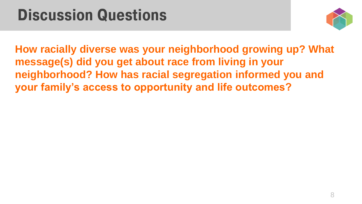### **Discussion Questions**



**How racially diverse was your neighborhood growing up? What message(s) did you get about race from living in your neighborhood? How has racial segregation informed you and your family's access to opportunity and life outcomes?**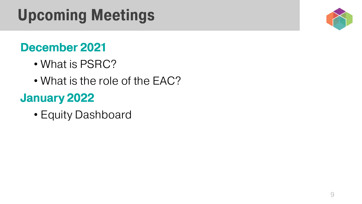# **Upcoming Meetings**

#### December 2021

- What is PSRC?
- What is the role of the EAC?

#### January 2022

• Equity Dashboard